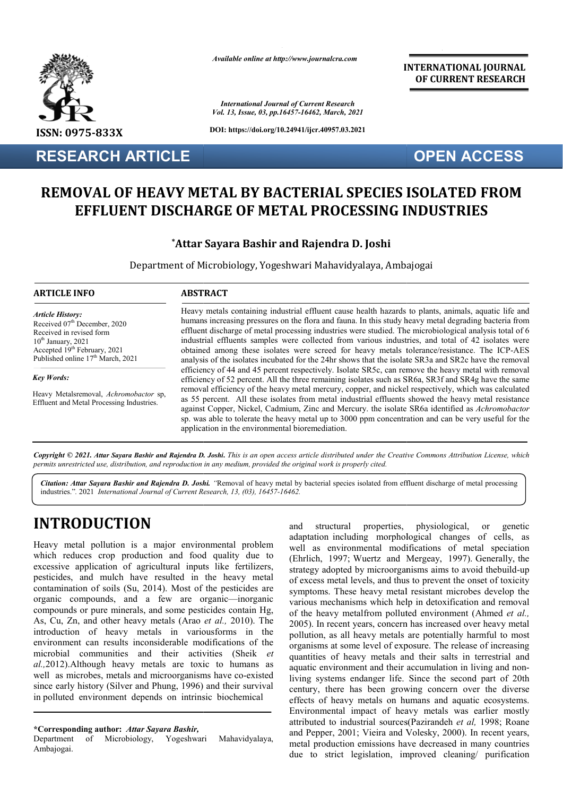

**RESEARCH ARTICLE**

*Available online at http://www.journalcra.com*

*International Journal of Current Research Vol. 13, Issue, 03, pp.16457-16462, March, 2021*

**DOI: https://doi.org/10.24941/ijcr.40957.03.2021**

**INTERNATIONAL JOURNAL OF CURRENT RESEARCH**

# **OPEN ACCESS**

# **REMOVAL OF HEAVY METAL BY BACTERIAL SPECIES ISOLATED FROM OVAL OF HEAVY METAL BY BACTERIAL SPECIES ISOLATED F<br>EFFLUENT DISCHARGE OF METAL PROCESSING INDUSTRIES**

## **\*Attar Sayara Bashir and Rajendra D. Joshi Attar**

Department of Microbiology, Yogeshwari Mahavidyalaya, Ambajogai

## **ARTICLE INFO ABSTRACT**

*Article History: Article History:* Received 07<sup>th</sup> December, 2020 Received in revised form  $10<sup>th</sup> January, 2021$ Accepted  $19<sup>th</sup>$  February, 2021 Published online  $17<sup>th</sup>$  March, 2021

*Key Words: Key Words:*

Heavy Metalsremoval, *Achromobactor* sp,  $C_{\text{C}}(x)$  is not considered to  $\mathcal{L}_{\text{C}}(x)$ Effluent and Metal Processing Industries.

Heavy metals containing industrial effluent cause health hazards to plants, animals, aquatic life and humans increasing pressures on the flora and fauna. In this study heavy metal degrading bacteria from Heavy metals containing industrial effluent cause health hazards to plants, animals, aquatic life and humans increasing pressures on the flora and fauna. In this study heavy metal degrading bacteria from effluent discharge industrial effluents samples were collected from various industries, and total of 42 isolates were industrial effluents samples were collected from various industries, and total of 42 isolates were obtained among these isolates were screed for heavy metals tolerance/resistance. The ICP-AES analysis of the isolates incubated for the 24hr shows that the isolate SR3a and SR2c have the removal efficiency of 44 and 45 percent respectively. Isolate SR5c, can remove the heavy metal with removal efficiency of 52 percent. All the three re remaining isolates such as SR6a, SR3f and SR4g have the same removal efficiency of the heavy metal mercury, copper, and nickel respectively, which was calculated as 55 percent. All these isolates from metal industrial effluents showed the heavy metal resistance against Copper, Nickel, Cadmium, Zinc and Mercury. the isolate SR6a identified as Achromobactor sp. was able to tolerate the heavy metal up to 3000 ppm concentration and can be very useful for the application in the environmental bioremediation. analysis of the isolates incubated for the 24hr shows that the isolate SR3a and SR2c have the removal efficiency of 44 and 45 percent respectively. Isolate SR5c, can remove the heavy metal with removal efficiency of 52 per

Copyright © 2021. Attar Sayara Bashir and Rajendra D. Joshi. This is an open access article distributed under the Creative Commons Attribution License, which permits unrestricted use, distribution, and reproduction in any medium, provided the original work is properly cited.

Citation: Attar Sayara Bashir and Rajendra D. Joshi. "Removal of heavy metal by bacterial species isolated from effluent discharge of metal processing industries."*.* 2021 *International Journal of Current Research, 13, (03), 16457-16462.*

# **INTRODUCTION**

Heavy metal pollution is a major environmental problem which reduces crop production and food quality due to excessive application of agricultural inputs like fertilizers, pesticides, and mulch have resulted in the heavy metal contamination of soils (Su, 2014). Most of the pesticides are contamination of soils (Su, 2014). Most of the pesticides are organic compounds, and a few are organic—inorganic compounds or pure minerals, and some pesticides contain Hg, As, Cu, Zn, and other heavy metals (Arao *et al.,* 2010). The introduction of heavy metals in variousforms in the environment can results inconsiderable modifications of the microbial communities and their activities (Sheik *et al.,*2012).Although heavy metals are toxic to humans as well as microbes, metals and microorganisms have co-existed since early history (Silver and Phung, 1996) and their survival in polluted environment depends on intrinsic biochemical

Department of Microbiology, Yogeshwari Mahavidyalaya, Ambajogai.

and structural properties, physiological, or genetic adaptation including morphological changes of cells, as well as environmental modifications of metal speciation (Ehrlich, 1997; Wuertz and Mergeay, 1997). Generally, the strategy adopted by microorganisms aims to avoid thebuild of excess metal levels, and thus to prevent the onset of toxicity symptoms. These heavy metal resistant microbes develop the various mechanisms which help in detoxification and removal of excess metal levels, and thus to prevent the onset of toxicity symptoms. These heavy metal resistant microbes develop the various mechanisms which help in detoxification and removal of the heavy metalfrom polluted envir 2005). In recent years, concern has increased over heavy metal pollution, as all heavy metals are potentially harmful to most organisms at some level of exposure. The release of increasing quantities of heavy metals and their salts in terrestrial and aquatic environment and their accumulation in living and non living systems endanger life. Since the second part of 20th century, there has been growing concern over the diverse effects of heavy metals on humans and aquatic ecosystems. Environmental impact of heavy metals was earlier mostly attributed to industrial sources(Pazirandeh et al, 1998; Roane and Pepper, 2001; Vieira and Volesky, 2000). In recent years, metal production emissions have decreased in many countries due to strict legislation, improved cleaning/ purification structural properties, physiological, or genetic<br>tion including morphological changes of cells, as<br>as environmental modifications of metal speciation<br>ch, 1997; Wuertz and Mergeay, 1997). Generally, the<br>gy adopted by microo In recent years, concern has increased over heavy metal<br>on, as all heavy metals are potentially harmful to most<br>ms at some level of exposure. The release of increasing<br>lies of heavy metals and their salts in terrestrial an **EXERVATIONAL FOURNATION (CONVERT)**<br> **EXERCISE CONVERTS (CONVERTS)**<br> **CONVERTS (CONVERTS)**<br> **CONVERTS)**<br> **CONVERTS)**<br> **CONVERTS)**<br> **CONVERTS)**<br> **CONVERTS)**<br> **CONVERTS)**<br> **CONVERTS)**<br> **CONVERTS**<br> **CONVERTS)**<br> **CONVERTS**<br>

**<sup>\*</sup>Corresponding author:** *Attar Sayara Bashir,*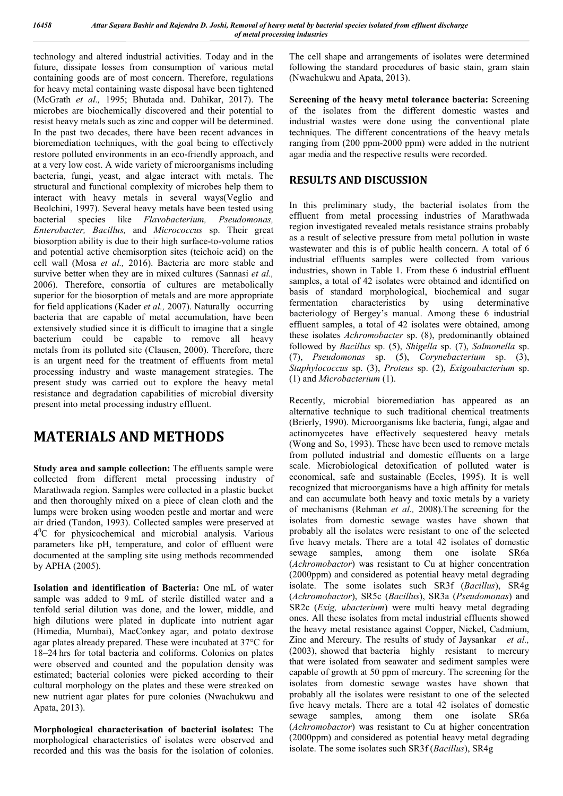technology and altered industrial activities. Today and in the future, dissipate losses from consumption of various metal containing goods are of most concern. Therefore, regulations for heavy metal containing waste disposal have been tightened (McGrath *et al.,* 1995; Bhutada and. Dahikar, 2017). The microbes are biochemically discovered and their potential to resist heavy metals such as zinc and copper will be determined. In the past two decades, there have been recent advances in bioremediation techniques, with the goal being to effectively restore polluted environments in an eco-friendly approach, and at a very low cost. A wide variety of microorganisms including bacteria, fungi, yeast, and algae interact with metals. The structural and functional complexity of microbes help them to interact with heavy metals in several ways(Veglio and Beolchini, 1997). Several heavy metals have been tested using bacterial species like *Flavobacterium, Pseudomonas, Enterobacter, Bacillus,* and *Micrococcus* sp. Their great biosorption ability is due to their high surface-to-volume ratios and potential active chemisorption sites (teichoic acid) on the cell wall (Mosa *et al.,* 2016). Bacteria are more stable and survive better when they are in mixed cultures (Sannasi *et al.,* 2006). Therefore, consortia of cultures are metabolically superior for the biosorption of metals and are more appropriate for field applications (Kader *et al.,* 2007). Naturally occurring bacteria that are capable of metal accumulation, have been extensively studied since it is difficult to imagine that a single bacterium could be capable to remove all heavy metals from its polluted site (Clausen, 2000). Therefore, there is an urgent need for the treatment of effluents from metal processing industry and waste management strategies. The present study was carried out to explore the heavy metal resistance and degradation capabilities of microbial diversity present into metal processing industry effluent.

# **MATERIALS AND METHODS**

**Study area and sample collection:** The effluents sample were collected from different metal processing industry of Marathwada region. Samples were collected in a plastic bucket and then thoroughly mixed on a piece of clean cloth and the lumps were broken using wooden pestle and mortar and were air dried (Tandon, 1993). Collected samples were preserved at 40 C for physicochemical and microbial analysis. Various parameters like pH, temperature, and color of effluent were documented at the sampling site using methods recommended by APHA (2005).

**Isolation and identification of Bacteria:** One mL of water sample was added to 9 mL of sterile distilled water and a tenfold serial dilution was done, and the lower, middle, and high dilutions were plated in duplicate into nutrient agar (Himedia, Mumbai), MacConkey agar, and potato dextrose agar plates already prepared. These were incubated at 37°C for 18–24 hrs for total bacteria and coliforms. Colonies on plates were observed and counted and the population density was estimated; bacterial colonies were picked according to their cultural morphology on the plates and these were streaked on new nutrient agar plates for pure colonies (Nwachukwu and Apata, 2013).

**Morphological characterisation of bacterial isolates:** The morphological characteristics of isolates were observed and recorded and this was the basis for the isolation of colonies.

The cell shape and arrangements of isolates were determined following the standard procedures of basic stain, gram stain (Nwachukwu and Apata, 2013).

**Screening of the heavy metal tolerance bacteria:** Screening of the isolates from the different domestic wastes and industrial wastes were done using the conventional plate techniques. The different concentrations of the heavy metals ranging from (200 ppm-2000 ppm) were added in the nutrient agar media and the respective results were recorded.

## **RESULTS AND DISCUSSION**

In this preliminary study, the bacterial isolates from the effluent from metal processing industries of Marathwada region investigated revealed metals resistance strains probably as a result of selective pressure from metal pollution in waste wastewater and this is of public health concern. A total of 6 industrial effluents samples were collected from various industries, shown in Table 1. From these 6 industrial effluent samples, a total of 42 isolates were obtained and identified on basis of standard morphological, biochemical and sugar fermentation characteristics by using determinative bacteriology of Bergey's manual. Among these 6 industrial effluent samples, a total of 42 isolates were obtained, among these isolates *Achromobacter* sp. (8), predominantly obtained followed by *Bacillus* sp. (5), *Shigella* sp. (7), *Salmonella* sp. (7), *Pseudomonas* sp. (5), *Corynebacterium* sp. (3), *Staphylococcus* sp. (3), *Proteus* sp. (2), *Exigoubacterium* sp. (1) and *Microbacterium* (1).

Recently, microbial bioremediation has appeared as an alternative technique to such traditional chemical treatments (Brierly, 1990). Microorganisms like bacteria, fungi, algae and actinomycetes have effectively sequestered heavy metals (Wong and So, 1993). These have been used to remove metals from polluted industrial and domestic effluents on a large scale. Microbiological detoxification of polluted water is economical, safe and sustainable (Eccles, 1995). It is well recognized that microorganisms have a high affinity for metals and can accumulate both heavy and toxic metals by a variety of mechanisms (Rehman *et al.,* 2008).The screening for the isolates from domestic sewage wastes have shown that probably all the isolates were resistant to one of the selected five heavy metals. There are a total 42 isolates of domestic sewage samples, among them one isolate SR6a (*Achromobactor*) was resistant to Cu at higher concentration (2000ppm) and considered as potential heavy metal degrading isolate. The some isolates such SR3f (*Bacillus*), SR4g (*Achromobactor*), SR5c (*Bacillus*), SR3a (*Pseudomonas*) and SR2c (*Exig, ubacterium*) were multi heavy metal degrading ones. All these isolates from metal industrial effluents showed the heavy metal resistance against Copper, Nickel, Cadmium, Zinc and Mercury. The results of study of Jaysankar *et al.,* (2003), showed that bacteria highly resistant to mercury that were isolated from seawater and sediment samples were capable of growth at 50 ppm of mercury. The screening for the isolates from domestic sewage wastes have shown that probably all the isolates were resistant to one of the selected five heavy metals. There are a total 42 isolates of domestic sewage samples, among them one isolate SR6a (*Achromobactor*) was resistant to Cu at higher concentration (2000ppm) and considered as potential heavy metal degrading isolate. The some isolates such SR3f (*Bacillus*), SR4g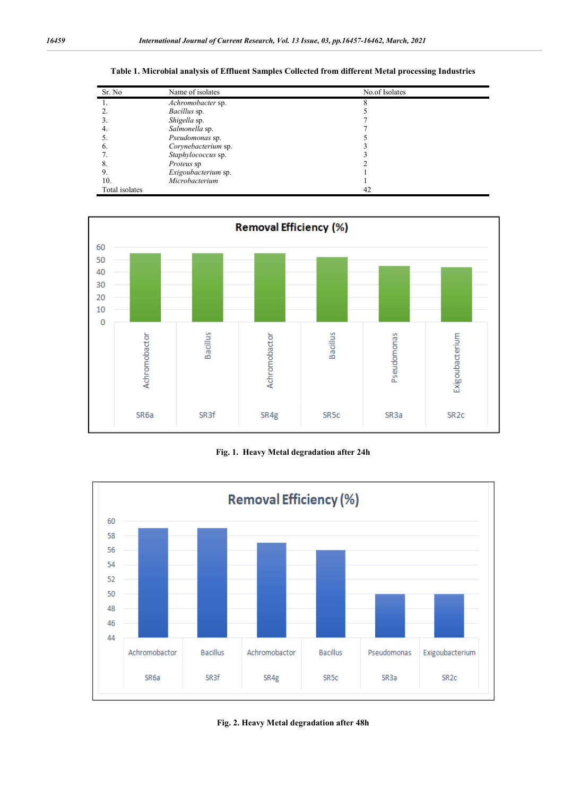| Sr. No         | Name of isolates    | No.of Isolates |
|----------------|---------------------|----------------|
| 1.             | Achromobacter sp.   |                |
|                | <i>Bacillus</i> sp. |                |
| 3.             | Shigella sp.        |                |
| 4.             | Salmonella sp.      |                |
|                | Pseudomonas sp.     |                |
| 6.             | Corynebacterium sp. |                |
|                | Staphylococcus sp.  |                |
| 8.             | Proteus sp          |                |
| 9.             | Exigoubacterium sp. |                |
| 10.            | Microbacterium      |                |
| Total isolates |                     | 42             |

**Table 1. Microbial analysis of Effluent Samples Collected from different Metal processing Industries**



**Fig. 1. Heavy Metal degradation after 24h**



**Fig. 2. Heavy Metal degradation after 48h**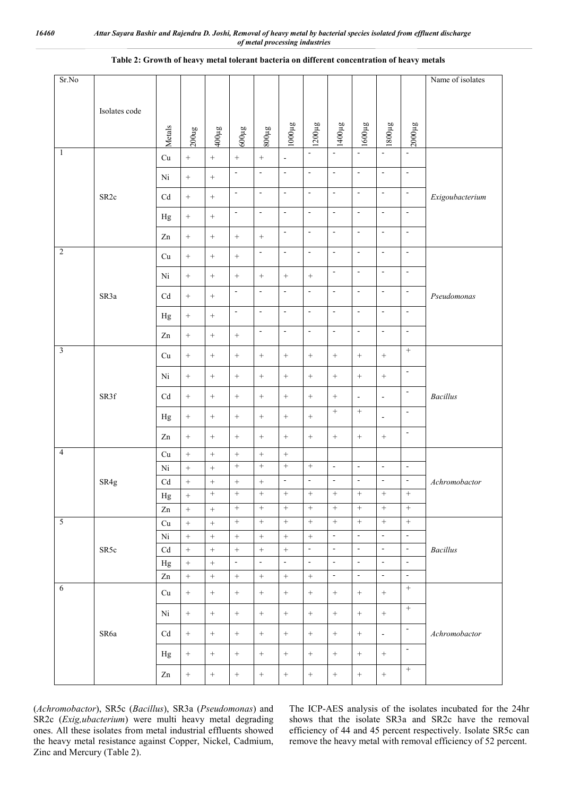| Sr.No                   |                  |                             |                   |                   |                   |                  |                          |                          |                          |                          |                          |                          | Name of isolates |
|-------------------------|------------------|-----------------------------|-------------------|-------------------|-------------------|------------------|--------------------------|--------------------------|--------------------------|--------------------------|--------------------------|--------------------------|------------------|
|                         |                  |                             |                   |                   |                   |                  |                          |                          |                          |                          |                          |                          |                  |
|                         | Isolates code    |                             |                   |                   |                   |                  |                          |                          |                          |                          |                          |                          |                  |
|                         |                  | Metals                      | $200$ ug          | 8m00#             | 8n009             | 800µg            | 310001                   | 1200µg                   | 1400µg                   | 1600µg                   | 1800µg                   | 2000µg                   |                  |
| $\mathbf{1}$            |                  | $\ensuremath{\mathrm{Cu}}$  | $\qquad \qquad +$ | $^+$              | $\qquad \qquad +$ | $\boldsymbol{+}$ | $\blacksquare$           | $\mathbf{r}$             | $\mathbf{L}$             |                          |                          | $\mathbb{Z}^2$           |                  |
|                         |                  | Ni                          |                   | $\qquad \qquad +$ | $\Box$            | $\Box$           | $\sim$                   | $\omega$                 | $\mathbb{Z}^2$           | $\blacksquare$           | $\Box$                   | $\omega$                 |                  |
|                         | SR <sub>2c</sub> |                             |                   |                   | $\Box$            | $\Box$           | $\bar{\phantom{a}}$      | $\omega$                 | $\omega$                 | $\Box$                   | $\Box$                   | $\blacksquare$           |                  |
|                         |                  | $\ensuremath{\mathrm{C}} d$ |                   | $\, +$            | $\blacksquare$    | $\Box$           | $\overline{\phantom{a}}$ | $\overline{\phantom{a}}$ | $\blacksquare$           | $\Box$                   | $\Box$                   | $\sim$                   | Exigoubacterium  |
|                         |                  | Hg                          |                   | $\qquad \qquad +$ |                   |                  |                          |                          |                          |                          |                          |                          |                  |
|                         |                  | $\mathbf{Zn}$               | $\! + \!$         | $\qquad \qquad +$ | $\! + \!$         |                  | $\blacksquare$           | $\blacksquare$           | $\blacksquare$           | $\omega$                 | $\Box$                   | $\blacksquare$           |                  |
| $\overline{2}$          |                  | Cu                          | $\! + \!$         | $\qquad \qquad +$ | $\qquad \qquad +$ | $\blacksquare$   | $\overline{\phantom{a}}$ | $\blacksquare$           | $\blacksquare$           | $\blacksquare$           | $\Box$                   | $\overline{\phantom{a}}$ |                  |
|                         |                  | Ni                          | $\! + \!$         | $\, +$            | $\boldsymbol{+}$  | $\, +$           | $\, +$                   | $\! +$                   | $\blacksquare$           | $\omega$                 | $\Box$                   | $\blacksquare$           |                  |
|                         | SR3a             | $\ensuremath{\mathrm{C}} d$ | $\! + \!$         | $\qquad \qquad +$ | $\blacksquare$    | $\blacksquare$   | $\overline{\phantom{a}}$ | $\blacksquare$           | $\blacksquare$           | $\blacksquare$           | $\Box$                   | $\blacksquare$           | Pseudomonas      |
|                         |                  | Hg                          | $\! + \!$         | $\! + \!$         | $\blacksquare$    | $\blacksquare$   | $\blacksquare$           | $\omega$                 | $\omega$                 | $\omega$                 | $\Box$                   | $\blacksquare$           |                  |
|                         |                  | $\mathbf{Zn}$               | $\! + \!$         | $\qquad \qquad +$ | $\qquad \qquad +$ | $\blacksquare$   | $\overline{\phantom{a}}$ | $\blacksquare$           | $\blacksquare$           | $\omega$                 | $\overline{\phantom{a}}$ | $\overline{\phantom{a}}$ |                  |
| $\overline{\mathbf{3}}$ |                  |                             |                   |                   |                   |                  |                          |                          |                          |                          |                          | $\, +$                   |                  |
|                         |                  | Cu                          | $\! + \!$         | $\! + \!$         | $\! + \!$         | $\! +$           | $\! +$                   | $\! +$                   | $\! +$                   | $\boldsymbol{+}$         | $\boldsymbol{+}$         | $\sim$                   |                  |
|                         |                  | Ni                          |                   |                   | $\boldsymbol{+}$  | $\! +$           | $+$                      | $^{+}$                   | $\! +$                   | $\! +$                   | $\boldsymbol{+}$         |                          |                  |
|                         | SR3f             | $\mathbf{C} \mathbf{d}$     | $\! + \!$         | $^{+}$            | $\, +$            | $\, +$           | $\! +$                   | $\! +$                   | $\, +$                   | $\Box$                   | $\Box$                   | $\blacksquare$           | <b>Bacillus</b>  |
|                         |                  | Hg                          | $\qquad \qquad +$ | $\, +$            | $\boldsymbol{+}$  | $\boldsymbol{+}$ | $\! + \!\!\!\!$          | $\! +$                   | $\, +$                   | $\, +$                   | $\Box$                   | $\blacksquare$           |                  |
|                         |                  | Zn                          | $\, +$            | $^{+}$            | $\, +$            | $\! +$           | $+$                      | $+$                      | $\! +$                   | $\! +$                   | $\boldsymbol{+}$         | $\blacksquare$           |                  |
| $\overline{4}$          |                  | Cu                          | $\! + \!$         | $\qquad \qquad +$ | $\! + \!$         | $\! + \!$        |                          |                          |                          |                          |                          |                          |                  |
|                         |                  | Ni                          | $\qquad \qquad +$ | $\qquad \qquad +$ | $\! + \!$         | $\! + \!$        | $\qquad \qquad +$        | $\! +$                   | $\blacksquare$           | $\blacksquare$           | $\blacksquare$           | $\blacksquare$           |                  |
|                         | SR4g             | $\mathbf{C} \mathbf{d}$     | $\! + \!$         | $\! + \!$         | $\qquad \qquad +$ | $\! + \!$        | $\bar{\phantom{a}}$      | $\overline{\phantom{a}}$ | $\overline{\phantom{a}}$ | $\blacksquare$           | $\Box$                   | $\blacksquare$           | Achromobactor    |
|                         |                  | $_{\rm Hg}$                 | $^{+}$            | $^{+}$            | $^{+}$            | $^{+}$           | $^{+}$                   | $^{+}$                   | $^{+}$                   | $\boldsymbol{+}$         | $\boldsymbol{+}$         | $+$                      |                  |
|                         |                  | Zn                          | $\boldsymbol{+}$  | $+$               | $\boldsymbol{+}$  | $\boldsymbol{+}$ | $\, +$                   | $\! +$                   | $+$                      | $\! +$                   | $\! +$                   | $\, +$                   |                  |
| $\overline{5}$          |                  | Cu                          | $\, +$            | $+$               | $\boldsymbol{+}$  | $\, +$           | $\, +$                   | $\! +$                   | $^{+}$                   | $\, +$                   | $\boldsymbol{+}$         | $\, +$                   |                  |
|                         |                  | $\rm Ni$                    | $\! + \!$         | $\qquad \qquad +$ | $\! + \!$         | $\boldsymbol{+}$ | $\, +$                   | $\boldsymbol{+}$         | $\blacksquare$           | $\overline{\phantom{a}}$ | $\Box$                   | $\overline{\phantom{a}}$ |                  |
|                         | SR5c             | $\ensuremath{\mathrm{C}} d$ | $\boldsymbol{+}$  | $\! + \!$         | $\boldsymbol{+}$  | $\boldsymbol{+}$ | $\! +$                   | $\blacksquare$           | $\blacksquare$           | $\blacksquare$           | $\Box$                   | $\sim$                   | <b>Bacillus</b>  |
|                         |                  | Hg                          | $\qquad \qquad +$ | $\qquad \qquad +$ | $\blacksquare$    | $\Box$           | $\bar{\phantom{a}}$      | $\blacksquare$           | $\sim$                   | $\Box$                   | $\Box$                   | $\bar{\phantom{a}}$      |                  |
|                         |                  | $\mathbf{Zn}$               | $\qquad \qquad +$ | $\qquad \qquad +$ | $\qquad \qquad +$ | $\; +$           | $\,+\,$                  | $\qquad \qquad +$        | $\blacksquare$           | $\omega$                 | $\Box$                   | $\blacksquare$           |                  |
| $\sqrt{6}$              |                  | Cu                          | $\boldsymbol{+}$  |                   | $\boldsymbol{+}$  | $\! + \!\!\!\!$  | $\! + \!\!\!\!$          | $\! +$                   | $\! +$                   | $\! +$                   | $\! +$                   | $\boldsymbol{+}$         |                  |
|                         |                  | Ni                          | $\qquad \qquad +$ | $\! + \!$         | $\boldsymbol{+}$  | $\boldsymbol{+}$ | $\, +$                   | $\! +$                   | $\, +$                   | $\boldsymbol{+}$         | $\boldsymbol{+}$         | $\boldsymbol{+}$         |                  |
|                         | SR6a             | Cd                          | $\boldsymbol{+}$  | $\boldsymbol{+}$  | $\boldsymbol{+}$  | $\! + \!\!\!\!$  | $\boldsymbol{+}$         | $\! +$                   | $\, +$                   | $\boldsymbol{+}$         | $\omega$                 | $\blacksquare$           | Achromobactor    |
|                         |                  | Hg                          | $\boldsymbol{+}$  | $\boldsymbol{+}$  | $\! +$            | $+$              | $+$                      | $+$                      | $+$                      | $\! +$                   | $\boldsymbol{+}$         | $\overline{\phantom{a}}$ |                  |
|                         |                  | $\mathbf{Zn}$               | $\qquad \qquad +$ | $\qquad \qquad +$ | $\qquad \qquad +$ | $\boldsymbol{+}$ | $\boldsymbol{+}$         | $\boldsymbol{+}$         | $\boldsymbol{+}$         | $\qquad \qquad +$        | $\qquad \qquad +$        |                          |                  |
|                         |                  |                             |                   |                   |                   |                  |                          |                          |                          |                          |                          |                          |                  |

## **Table 2: Growth of heavy metal tolerant bacteria on different concentration of heavy metals**

(*Achromobactor*), SR5c (*Bacillus*), SR3a (*Pseudomonas*) and SR2c (*Exig,ubacterium*) were multi heavy metal degrading ones. All these isolates from metal industrial effluents showed the heavy metal resistance against Copper, Nickel, Cadmium, Zinc and Mercury (Table 2).

The ICP-AES analysis of the isolates incubated for the 24hr shows that the isolate SR3a and SR2c have the removal efficiency of 44 and 45 percent respectively. Isolate SR5c can remove the heavy metal with removal efficiency of 52 percent.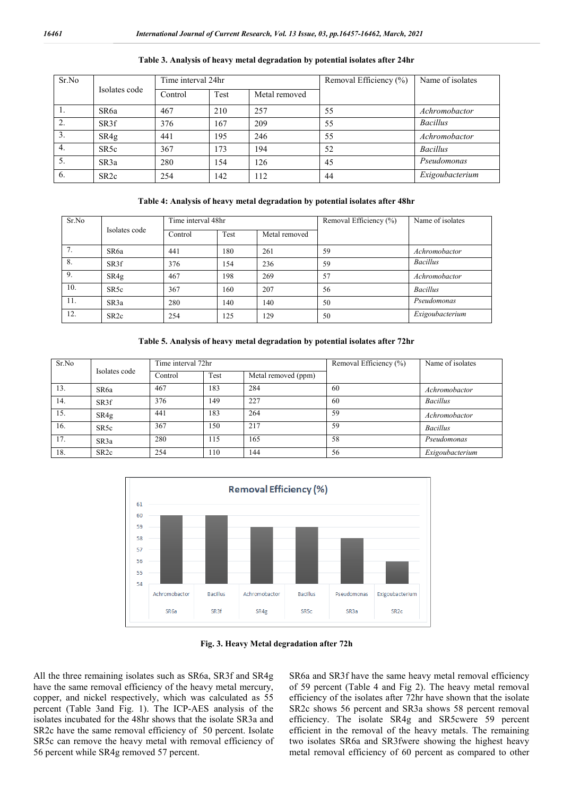| Sr.No            | Isolates code     | Time interval 24hr |      |               | Removal Efficiency (%) | Name of isolates |
|------------------|-------------------|--------------------|------|---------------|------------------------|------------------|
|                  |                   | Control            | Test | Metal removed |                        |                  |
| .,               | SR <sub>6</sub> a | 467                | 210  | 257           | 55                     | Achromobactor    |
| 2.               | SR <sub>3f</sub>  | 376                | 167  | 209           | 55                     | <b>Bacillus</b>  |
| $\overline{3}$ . | SR4g              | 441                | 195  | 246           | 55                     | Achromobactor    |
| 4.               | SR <sub>5c</sub>  | 367                | 173  | 194           | 52                     | <b>Bacillus</b>  |
| 5.               | SR <sub>3</sub> a | 280                | 154  | 126           | 45                     | Pseudomonas      |
| 6.               | SR <sub>2c</sub>  | 254                | 142  | 112           | 44                     | Exigoubacterium  |

#### **Table 3. Analysis of heavy metal degradation by potential isolates after 24hr**

### **Table 4: Analysis of heavy metal degradation by potential isolates after 48hr**

| Sr.No |                   | Time interval 48hr |                       |     | Removal Efficiency (%) | Name of isolates |
|-------|-------------------|--------------------|-----------------------|-----|------------------------|------------------|
|       | Isolates code     | Control            | Test<br>Metal removed |     |                        |                  |
|       | SR6a              | 441                | 180                   | 261 | 59                     | Achromobactor    |
| 8.    | SR3f              | 376                | 154                   | 236 | 59                     | <b>Bacillus</b>  |
| 9.    | SR4g              | 467                | 198                   | 269 | 57                     | Achromobactor    |
| 10.   | SR <sub>5c</sub>  | 367                | 160                   | 207 | 56                     | <b>Bacillus</b>  |
| 11.   | SR <sub>3</sub> a | 280                | 140                   | 140 | 50                     | Pseudomonas      |
| 12.   | SR <sub>2c</sub>  | 254                | 125                   | 129 | 50                     | Exigoubacterium  |

**Table 5. Analysis of heavy metal degradation by potential isolates after 72hr**

| Sr.No |                   | Time interval 72hr |      |                     | Removal Efficiency (%) | Name of isolates |
|-------|-------------------|--------------------|------|---------------------|------------------------|------------------|
|       | Isolates code     | Control            | Test | Metal removed (ppm) |                        |                  |
| 13.   | SR <sub>6</sub> a | 467                | 183  | 284                 | 60                     | Achromobactor    |
| 14.   | SR3f              | 376                | 149  | 227                 | 60                     | <b>Bacillus</b>  |
| 15.   | SR4g              | 441                | 183  | 264                 | 59                     | Achromobactor    |
| 16.   | SR <sub>5c</sub>  | 367                | 150  | 217                 | 59                     | <b>Bacillus</b>  |
| 17.   | SR <sub>3</sub> a | 280                | 115  | 165                 | 58                     | Pseudomonas      |
| 18.   | SR <sub>2c</sub>  | 254                | 110  | 144                 | 56                     | Exigoubacterium  |



**Fig. 3. Heavy Metal degradation after 72h**

All the three remaining isolates such as SR6a, SR3f and SR4g have the same removal efficiency of the heavy metal mercury, copper, and nickel respectively, which was calculated as 55 percent (Table 3and Fig. 1). The ICP-AES analysis of the isolates incubated for the 48hr shows that the isolate SR3a and SR2c have the same removal efficiency of 50 percent. Isolate SR5c can remove the heavy metal with removal efficiency of 56 percent while SR4g removed 57 percent.

SR6a and SR3f have the same heavy metal removal efficiency of 59 percent (Table 4 and Fig 2). The heavy metal removal efficiency of the isolates after 72hr have shown that the isolate SR2c shows 56 percent and SR3a shows 58 percent removal efficiency. The isolate SR4g and SR5cwere 59 percent efficient in the removal of the heavy metals. The remaining two isolates SR6a and SR3fwere showing the highest heavy metal removal efficiency of 60 percent as compared to other